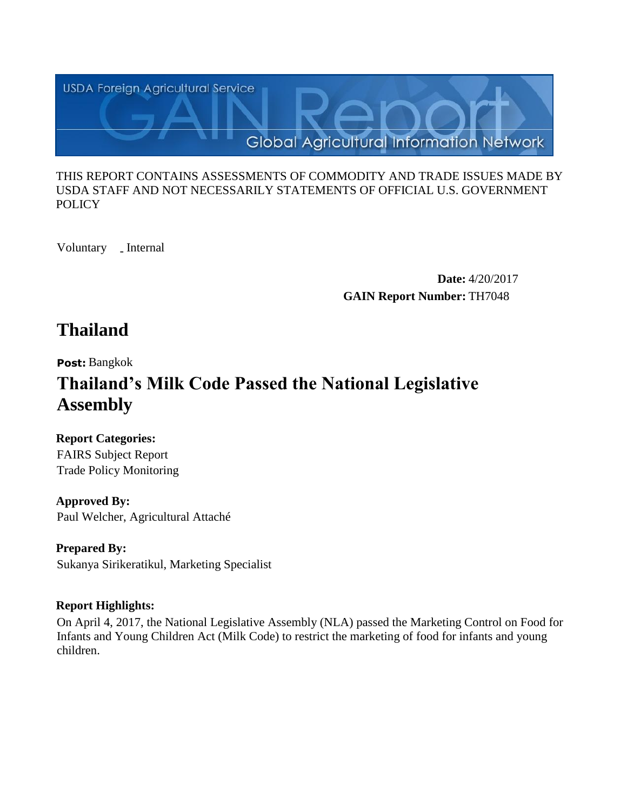

#### THIS REPORT CONTAINS ASSESSMENTS OF COMMODITY AND TRADE ISSUES MADE BY USDA STAFF AND NOT NECESSARILY STATEMENTS OF OFFICIAL U.S. GOVERNMENT **POLICY**

Voluntary \_ Internal

**Date:** 4/20/2017 **GAIN Report Number:** TH7048

## **Thailand**

**Post:** Bangkok

# **Thailand's Milk Code Passed the National Legislative Assembly**

**Report Categories:** FAIRS Subject Report

Trade Policy Monitoring

**Approved By:**  Paul Welcher, Agricultural Attaché

**Prepared By:**  Sukanya Sirikeratikul, Marketing Specialist

## **Report Highlights:**

On April 4, 2017, the National Legislative Assembly (NLA) passed the Marketing Control on Food for Infants and Young Children Act (Milk Code) to restrict the marketing of food for infants and young children.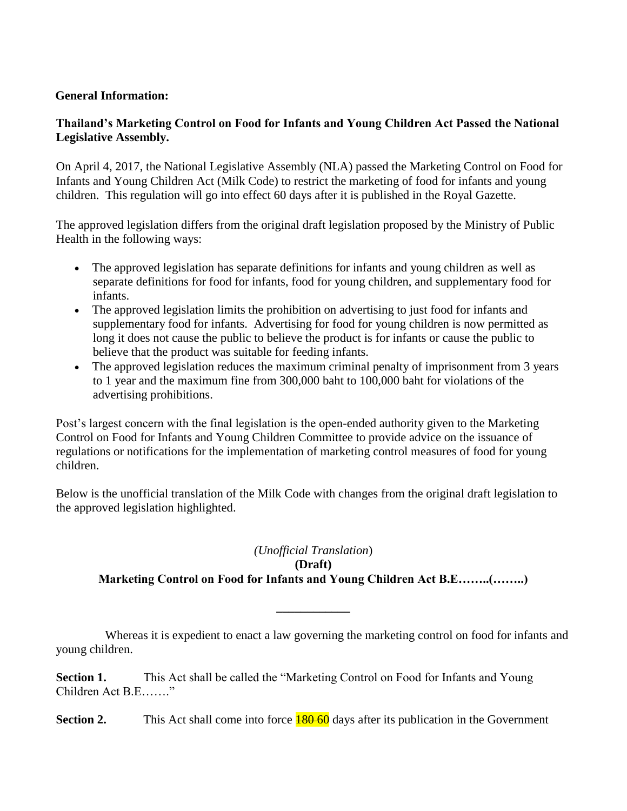#### **General Information:**

#### **Thailand's Marketing Control on Food for Infants and Young Children Act Passed the National Legislative Assembly.**

On April 4, 2017, the National Legislative Assembly (NLA) passed the Marketing Control on Food for Infants and Young Children Act (Milk Code) to restrict the marketing of food for infants and young children. This regulation will go into effect 60 days after it is published in the Royal Gazette.

The approved legislation differs from the original draft legislation proposed by the Ministry of Public Health in the following ways:

- The approved legislation has separate definitions for infants and young children as well as separate definitions for food for infants, food for young children, and supplementary food for infants.
- The approved legislation limits the prohibition on advertising to just food for infants and supplementary food for infants. Advertising for food for young children is now permitted as long it does not cause the public to believe the product is for infants or cause the public to believe that the product was suitable for feeding infants.
- The approved legislation reduces the maximum criminal penalty of imprisonment from 3 years to 1 year and the maximum fine from 300,000 baht to 100,000 baht for violations of the advertising prohibitions.

Post's largest concern with the final legislation is the open-ended authority given to the Marketing Control on Food for Infants and Young Children Committee to provide advice on the issuance of regulations or notifications for the implementation of marketing control measures of food for young children.

Below is the unofficial translation of the Milk Code with changes from the original draft legislation to the approved legislation highlighted.

#### *(Unofficial Translation*) **(Draft) Marketing Control on Food for Infants and Young Children Act B.E……..(……..)**

 Whereas it is expedient to enact a law governing the marketing control on food for infants and young children.

**\_\_\_\_\_\_\_\_\_\_\_\_**

Section 1. This Act shall be called the "Marketing Control on Food for Infants and Young Children Act B.E……."

**Section 2.** This Act shall come into force  $\frac{180-60}{180}$  days after its publication in the Government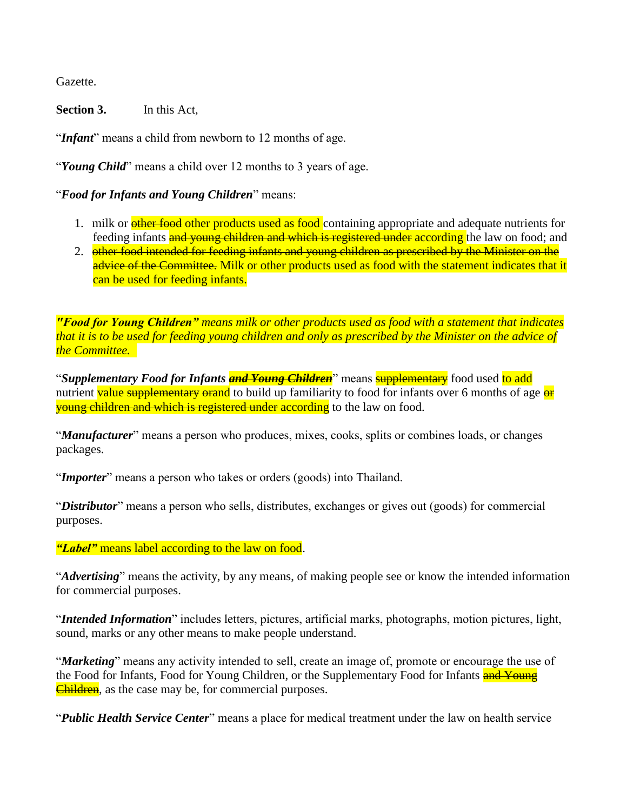Gazette.

**Section 3.** In this Act,

"*Infant*" means a child from newborn to 12 months of age.

"*Young Child*" means a child over 12 months to 3 years of age.

"*Food for Infants and Young Children*" means:

- 1. milk or **other food other products used as food** containing appropriate and adequate nutrients for feeding infants **and young children and which is registered under according** the law on food; and
- 2. other food intended for feeding infants and young children as prescribed by the Minister on the advice of the Committee. Milk or other products used as food with the statement indicates that it can be used for feeding infants.

*"Food for Young Children" means milk or other products used as food with a statement that indicates that it is to be used for feeding young children and only as prescribed by the Minister on the advice of the Committee.*

"*Supplementary Food for Infants and Young Children*" means supplementary food used to add nutrient value supplementary orand to build up familiarity to food for infants over 6 months of age or **young children and which is registered under according** to the law on food.

"*Manufacturer*" means a person who produces, mixes, cooks, splits or combines loads, or changes packages.

"*Importer*" means a person who takes or orders (goods) into Thailand.

"*Distributor*" means a person who sells, distributes, exchanges or gives out (goods) for commercial purposes.

*"Label"* means label according to the law on food.

"*Advertising*" means the activity, by any means, of making people see or know the intended information for commercial purposes.

"*Intended Information*" includes letters, pictures, artificial marks, photographs, motion pictures, light, sound, marks or any other means to make people understand.

"*Marketing*" means any activity intended to sell, create an image of, promote or encourage the use of the Food for Infants, Food for Young Children, or the Supplementary Food for Infants and Young **Children**, as the case may be, for commercial purposes.

"*Public Health Service Center*" means a place for medical treatment under the law on health service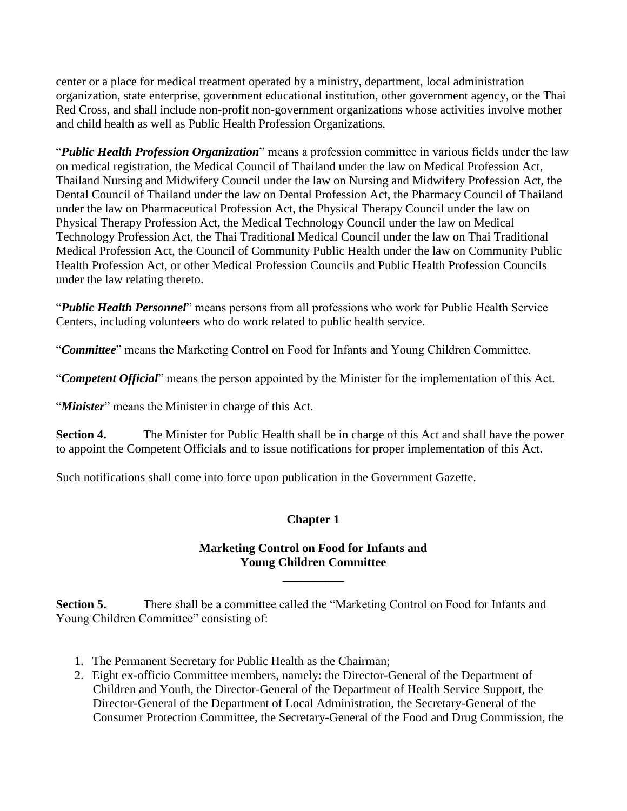center or a place for medical treatment operated by a ministry, department, local administration organization, state enterprise, government educational institution, other government agency, or the Thai Red Cross, and shall include non-profit non-government organizations whose activities involve mother and child health as well as Public Health Profession Organizations.

"*Public Health Profession Organization*" means a profession committee in various fields under the law on medical registration, the Medical Council of Thailand under the law on Medical Profession Act, Thailand Nursing and Midwifery Council under the law on Nursing and Midwifery Profession Act, the Dental Council of Thailand under the law on Dental Profession Act, the Pharmacy Council of Thailand under the law on Pharmaceutical Profession Act, the Physical Therapy Council under the law on Physical Therapy Profession Act, the Medical Technology Council under the law on Medical Technology Profession Act, the Thai Traditional Medical Council under the law on Thai Traditional Medical Profession Act, the Council of Community Public Health under the law on Community Public Health Profession Act, or other Medical Profession Councils and Public Health Profession Councils under the law relating thereto.

"*Public Health Personnel*" means persons from all professions who work for Public Health Service Centers, including volunteers who do work related to public health service.

"*Committee*" means the Marketing Control on Food for Infants and Young Children Committee.

"*Competent Official*" means the person appointed by the Minister for the implementation of this Act.

"Minister" means the Minister in charge of this Act.

**Section 4.** The Minister for Public Health shall be in charge of this Act and shall have the power to appoint the Competent Officials and to issue notifications for proper implementation of this Act.

Such notifications shall come into force upon publication in the Government Gazette.

#### **Chapter 1**

#### **Marketing Control on Food for Infants and Young Children Committee**

**\_\_\_\_\_\_\_\_\_\_**

**Section 5.** There shall be a committee called the "Marketing Control on Food for Infants and Young Children Committee" consisting of:

- 1. The Permanent Secretary for Public Health as the Chairman;
- 2. Eight ex-officio Committee members, namely: the Director-General of the Department of Children and Youth, the Director-General of the Department of Health Service Support, the Director-General of the Department of Local Administration, the Secretary-General of the Consumer Protection Committee, the Secretary-General of the Food and Drug Commission, the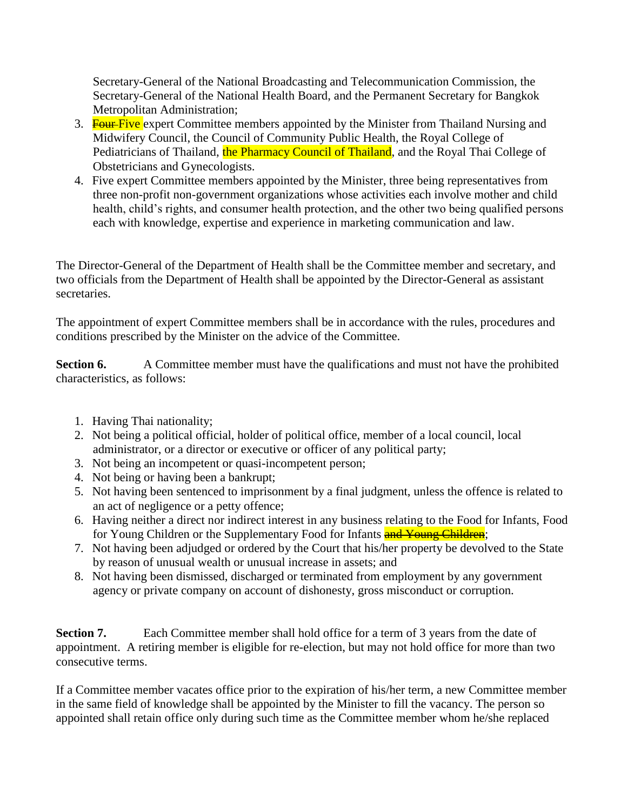Secretary-General of the National Broadcasting and Telecommunication Commission, the Secretary-General of the National Health Board, and the Permanent Secretary for Bangkok Metropolitan Administration;

- 3. **Four-Five** expert Committee members appointed by the Minister from Thailand Nursing and Midwifery Council, the Council of Community Public Health, the Royal College of Pediatricians of Thailand, the Pharmacy Council of Thailand, and the Royal Thai College of Obstetricians and Gynecologists.
- 4. Five expert Committee members appointed by the Minister, three being representatives from three non-profit non-government organizations whose activities each involve mother and child health, child's rights, and consumer health protection, and the other two being qualified persons each with knowledge, expertise and experience in marketing communication and law.

The Director-General of the Department of Health shall be the Committee member and secretary, and two officials from the Department of Health shall be appointed by the Director-General as assistant secretaries.

The appointment of expert Committee members shall be in accordance with the rules, procedures and conditions prescribed by the Minister on the advice of the Committee.

**Section 6.** A Committee member must have the qualifications and must not have the prohibited characteristics, as follows:

- 1. Having Thai nationality;
- 2. Not being a political official, holder of political office, member of a local council, local administrator, or a director or executive or officer of any political party;
- 3. Not being an incompetent or quasi-incompetent person;
- 4. Not being or having been a bankrupt;
- 5. Not having been sentenced to imprisonment by a final judgment, unless the offence is related to an act of negligence or a petty offence;
- 6. Having neither a direct nor indirect interest in any business relating to the Food for Infants, Food for Young Children or the Supplementary Food for Infants and Young Children;
- 7. Not having been adjudged or ordered by the Court that his/her property be devolved to the State by reason of unusual wealth or unusual increase in assets; and
- 8. Not having been dismissed, discharged or terminated from employment by any government agency or private company on account of dishonesty, gross misconduct or corruption.

**Section 7.** Each Committee member shall hold office for a term of 3 years from the date of appointment. A retiring member is eligible for re-election, but may not hold office for more than two consecutive terms.

If a Committee member vacates office prior to the expiration of his/her term, a new Committee member in the same field of knowledge shall be appointed by the Minister to fill the vacancy. The person so appointed shall retain office only during such time as the Committee member whom he/she replaced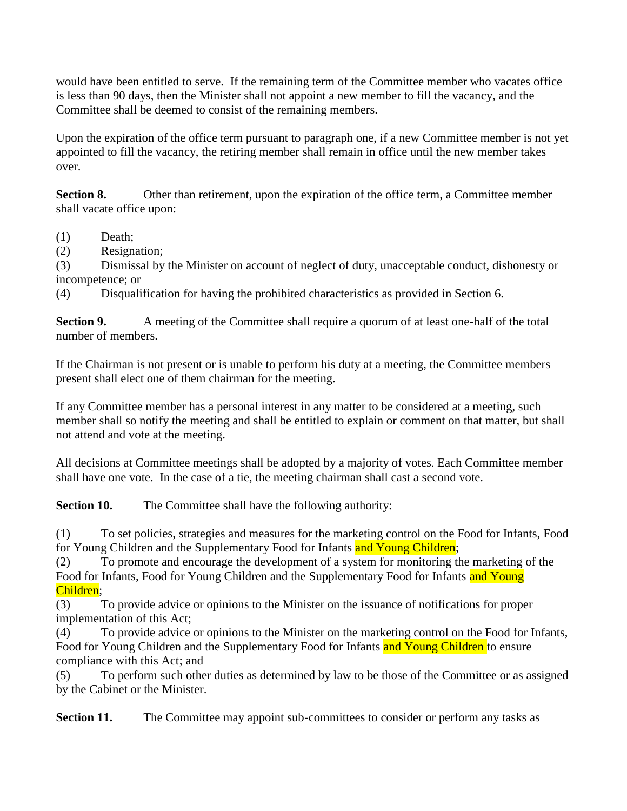would have been entitled to serve. If the remaining term of the Committee member who vacates office is less than 90 days, then the Minister shall not appoint a new member to fill the vacancy, and the Committee shall be deemed to consist of the remaining members.

Upon the expiration of the office term pursuant to paragraph one, if a new Committee member is not yet appointed to fill the vacancy, the retiring member shall remain in office until the new member takes over.

**Section 8.** Other than retirement, upon the expiration of the office term, a Committee member shall vacate office upon:

- (1) Death;
- (2) Resignation;

(3) Dismissal by the Minister on account of neglect of duty, unacceptable conduct, dishonesty or incompetence; or

(4) Disqualification for having the prohibited characteristics as provided in Section 6.

**Section 9.** A meeting of the Committee shall require a quorum of at least one-half of the total number of members.

If the Chairman is not present or is unable to perform his duty at a meeting, the Committee members present shall elect one of them chairman for the meeting.

If any Committee member has a personal interest in any matter to be considered at a meeting, such member shall so notify the meeting and shall be entitled to explain or comment on that matter, but shall not attend and vote at the meeting.

All decisions at Committee meetings shall be adopted by a majority of votes. Each Committee member shall have one vote. In the case of a tie, the meeting chairman shall cast a second vote.

**Section 10.** The Committee shall have the following authority:

(1) To set policies, strategies and measures for the marketing control on the Food for Infants, Food for Young Children and the Supplementary Food for Infants **and Young Children**;

(2) To promote and encourage the development of a system for monitoring the marketing of the Food for Infants, Food for Young Children and the Supplementary Food for Infants and Young Children;

(3) To provide advice or opinions to the Minister on the issuance of notifications for proper implementation of this Act;

(4) To provide advice or opinions to the Minister on the marketing control on the Food for Infants, Food for Young Children and the Supplementary Food for Infants and Young Children to ensure compliance with this Act; and

(5) To perform such other duties as determined by law to be those of the Committee or as assigned by the Cabinet or the Minister.

**Section 11.** The Committee may appoint sub-committees to consider or perform any tasks as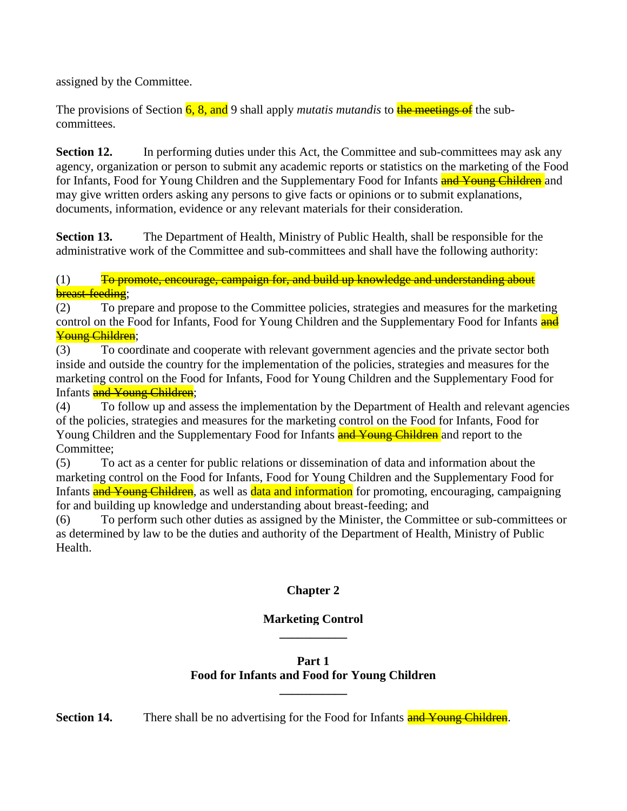assigned by the Committee.

The provisions of Section 6, 8, and 9 shall apply *mutatis mutandis* to the meetings of the subcommittees.

**Section 12.** In performing duties under this Act, the Committee and sub-committees may ask any agency, organization or person to submit any academic reports or statistics on the marketing of the Food for Infants, Food for Young Children and the Supplementary Food for Infants **and Young Children** and may give written orders asking any persons to give facts or opinions or to submit explanations, documents, information, evidence or any relevant materials for their consideration.

**Section 13.** The Department of Health, Ministry of Public Health, shall be responsible for the administrative work of the Committee and sub-committees and shall have the following authority:

(1) To promote, encourage, campaign for, and build up knowledge and understanding about breast-feeding;

(2) To prepare and propose to the Committee policies, strategies and measures for the marketing control on the Food for Infants, Food for Young Children and the Supplementary Food for Infants and Young Children;

(3) To coordinate and cooperate with relevant government agencies and the private sector both inside and outside the country for the implementation of the policies, strategies and measures for the marketing control on the Food for Infants, Food for Young Children and the Supplementary Food for Infants and Young Children;

(4) To follow up and assess the implementation by the Department of Health and relevant agencies of the policies, strategies and measures for the marketing control on the Food for Infants, Food for Young Children and the Supplementary Food for Infants **and Young Children** and report to the Committee;

(5) To act as a center for public relations or dissemination of data and information about the marketing control on the Food for Infants, Food for Young Children and the Supplementary Food for Infants and Young Children, as well as data and information for promoting, encouraging, campaigning for and building up knowledge and understanding about breast-feeding; and

(6) To perform such other duties as assigned by the Minister, the Committee or sub-committees or as determined by law to be the duties and authority of the Department of Health, Ministry of Public Health.

## **Chapter 2**

#### **Marketing Control \_\_\_\_\_\_\_\_\_\_\_**

## **Part 1 Food for Infants and Food for Young Children**

**\_\_\_\_\_\_\_\_\_\_\_**

**Section 14.** There shall be no advertising for the Food for Infants and Young Children.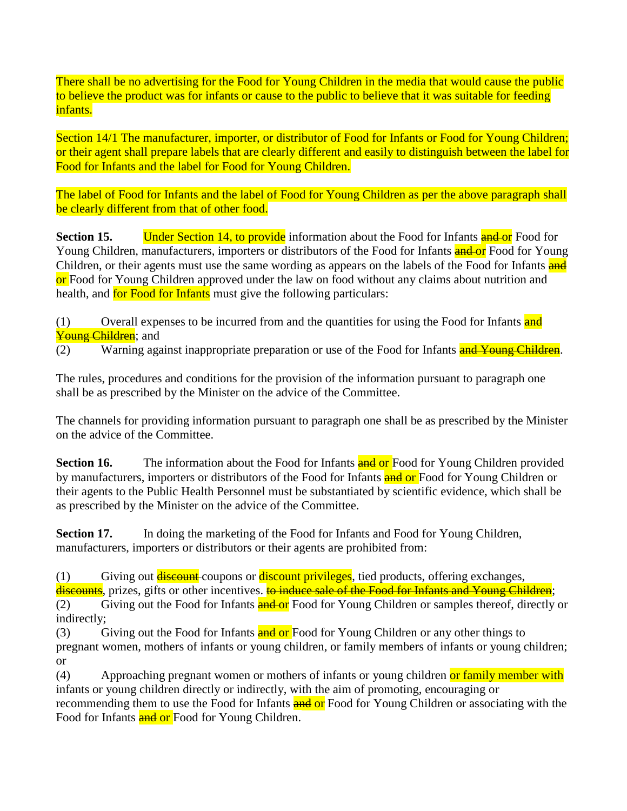There shall be no advertising for the Food for Young Children in the media that would cause the public to believe the product was for infants or cause to the public to believe that it was suitable for feeding infants.

Section 14/1 The manufacturer, importer, or distributor of Food for Infants or Food for Young Children; or their agent shall prepare labels that are clearly different and easily to distinguish between the label for Food for Infants and the label for Food for Young Children.

The label of Food for Infants and the label of Food for Young Children as per the above paragraph shall be clearly different from that of other food.

**Section 15. Under Section 14, to provide** information about the Food for Infants **and or** Food for Young Children, manufacturers, importers or distributors of the Food for Infants **and or** Food for Young Children, or their agents must use the same wording as appears on the labels of the Food for Infants and or Food for Young Children approved under the law on food without any claims about nutrition and health, and for Food for Infants must give the following particulars:

 $(1)$  Overall expenses to be incurred from and the quantities for using the Food for Infants and Young Children; and

(2) Warning against inappropriate preparation or use of the Food for Infants and Young Children.

The rules, procedures and conditions for the provision of the information pursuant to paragraph one shall be as prescribed by the Minister on the advice of the Committee.

The channels for providing information pursuant to paragraph one shall be as prescribed by the Minister on the advice of the Committee.

**Section 16.** The information about the Food for Infants **and or** Food for Young Children provided by manufacturers, importers or distributors of the Food for Infants and or Food for Young Children or their agents to the Public Health Personnel must be substantiated by scientific evidence, which shall be as prescribed by the Minister on the advice of the Committee.

**Section 17.** In doing the marketing of the Food for Infants and Food for Young Children, manufacturers, importers or distributors or their agents are prohibited from:

 $(1)$  Giving out **discount** coupons or **discount privileges**, tied products, offering exchanges,

discounts, prizes, gifts or other incentives. to induce sale of the Food for Infants and Young Children;

(2) Giving out the Food for Infants **and or** Food for Young Children or samples thereof, directly or indirectly;

(3) Giving out the Food for Infants **and or** Food for Young Children or any other things to pregnant women, mothers of infants or young children, or family members of infants or young children; or

(4) Approaching pregnant women or mothers of infants or young children or family member with infants or young children directly or indirectly, with the aim of promoting, encouraging or recommending them to use the Food for Infants and or Food for Young Children or associating with the Food for Infants and or Food for Young Children.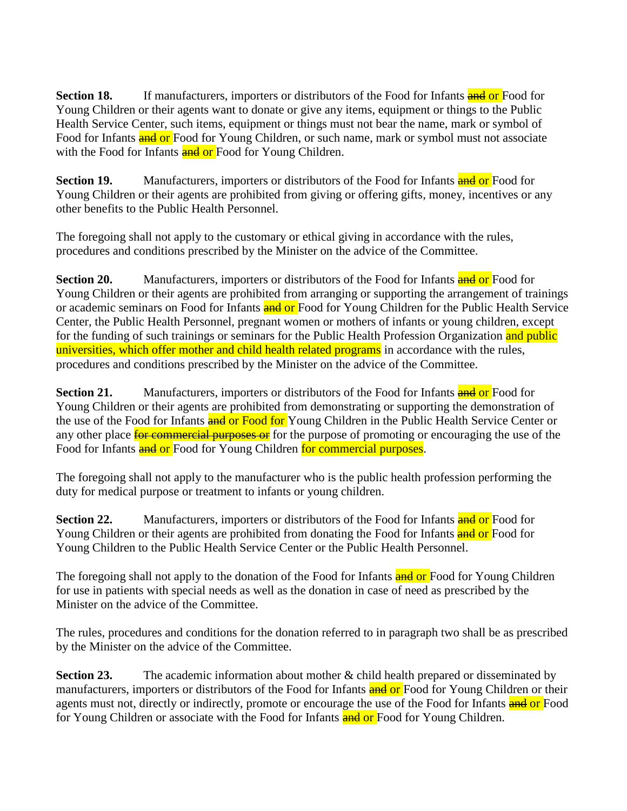**Section 18.** If manufacturers, importers or distributors of the Food for Infants **and or** Food for Young Children or their agents want to donate or give any items, equipment or things to the Public Health Service Center, such items, equipment or things must not bear the name, mark or symbol of Food for Infants and or Food for Young Children, or such name, mark or symbol must not associate with the Food for Infants and or Food for Young Children.

**Section 19.** Manufacturers, importers or distributors of the Food for Infants **and or** Food for Young Children or their agents are prohibited from giving or offering gifts, money, incentives or any other benefits to the Public Health Personnel.

The foregoing shall not apply to the customary or ethical giving in accordance with the rules, procedures and conditions prescribed by the Minister on the advice of the Committee.

**Section 20.** Manufacturers, importers or distributors of the Food for Infants **and or** Food for Young Children or their agents are prohibited from arranging or supporting the arrangement of trainings or academic seminars on Food for Infants and or Food for Young Children for the Public Health Service Center, the Public Health Personnel, pregnant women or mothers of infants or young children, except for the funding of such trainings or seminars for the Public Health Profession Organization and public universities, which offer mother and child health related programs in accordance with the rules, procedures and conditions prescribed by the Minister on the advice of the Committee.

**Section 21.** Manufacturers, importers or distributors of the Food for Infants **and or** Food for Young Children or their agents are prohibited from demonstrating or supporting the demonstration of the use of the Food for Infants and or Food for Young Children in the Public Health Service Center or any other place **for commercial purposes or** for the purpose of promoting or encouraging the use of the Food for Infants and or Food for Young Children for commercial purposes.

The foregoing shall not apply to the manufacturer who is the public health profession performing the duty for medical purpose or treatment to infants or young children.

**Section 22.** Manufacturers, importers or distributors of the Food for Infants **and or** Food for Young Children or their agents are prohibited from donating the Food for Infants and or Food for Young Children to the Public Health Service Center or the Public Health Personnel.

The foregoing shall not apply to the donation of the Food for Infants and or Food for Young Children for use in patients with special needs as well as the donation in case of need as prescribed by the Minister on the advice of the Committee.

The rules, procedures and conditions for the donation referred to in paragraph two shall be as prescribed by the Minister on the advice of the Committee.

**Section 23.** The academic information about mother & child health prepared or disseminated by manufacturers, importers or distributors of the Food for Infants and or Food for Young Children or their agents must not, directly or indirectly, promote or encourage the use of the Food for Infants and or Food for Young Children or associate with the Food for Infants and or Food for Young Children.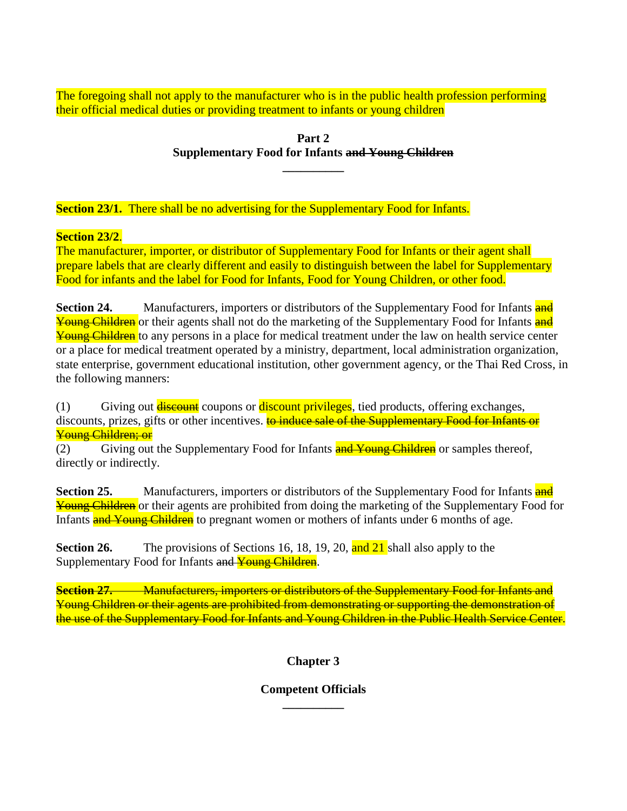The foregoing shall not apply to the manufacturer who is in the public health profession performing their official medical duties or providing treatment to infants or young children

#### **Part 2 Supplementary Food for Infants and Young Children \_\_\_\_\_\_\_\_\_\_**

**Section 23/1.** There shall be no advertising for the Supplementary Food for Infants.

## **Section 23/2**.

The manufacturer, importer, or distributor of Supplementary Food for Infants or their agent shall prepare labels that are clearly different and easily to distinguish between the label for Supplementary Food for infants and the label for Food for Infants, Food for Young Children, or other food.

**Section 24.** Manufacturers, importers or distributors of the Supplementary Food for Infants **and** Young Children or their agents shall not do the marketing of the Supplementary Food for Infants and Young Children to any persons in a place for medical treatment under the law on health service center or a place for medical treatment operated by a ministry, department, local administration organization, state enterprise, government educational institution, other government agency, or the Thai Red Cross, in the following manners:

(1) Giving out **discount** coupons or **discount privileges**, tied products, offering exchanges, discounts, prizes, gifts or other incentives. to induce sale of the Supplementary Food for Infants or Young Children; or

(2) Giving out the Supplementary Food for Infants and Young Children or samples thereof, directly or indirectly.

**Section 25.** Manufacturers, importers or distributors of the Supplementary Food for Infants **and** Young Children or their agents are prohibited from doing the marketing of the Supplementary Food for Infants **and Young Children** to pregnant women or mothers of infants under 6 months of age.

**Section 26.** The provisions of Sections 16, 18, 19, 20, and 21 shall also apply to the Supplementary Food for Infants and Young Children.

**Section 27. • • Manufacturers, importers or distributors of the Supplementary Food for Infants and** Young Children or their agents are prohibited from demonstrating or supporting the demonstration of the use of the Supplementary Food for Infants and Young Children in the Public Health Service Center.

## **Chapter 3**

#### **Competent Officials \_\_\_\_\_\_\_\_\_\_**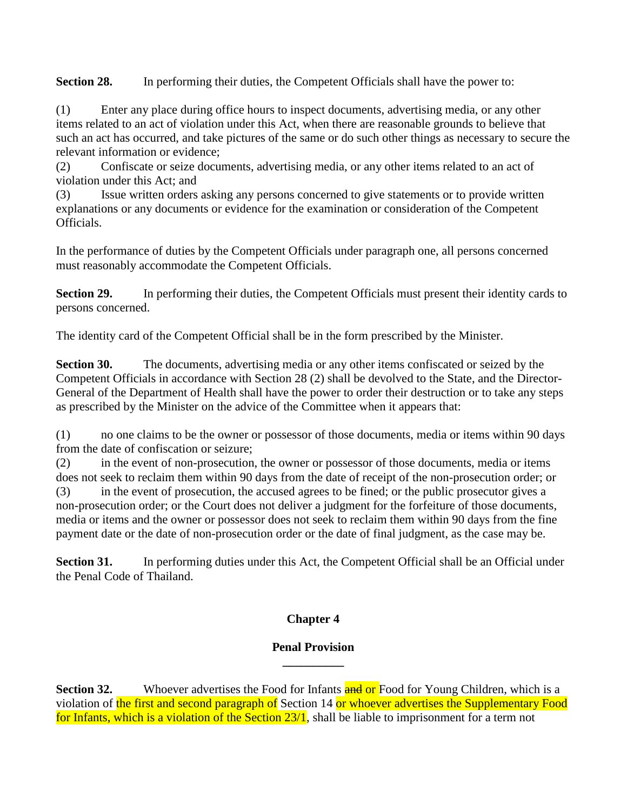**Section 28.** In performing their duties, the Competent Officials shall have the power to:

(1) Enter any place during office hours to inspect documents, advertising media, or any other items related to an act of violation under this Act, when there are reasonable grounds to believe that such an act has occurred, and take pictures of the same or do such other things as necessary to secure the relevant information or evidence;

(2) Confiscate or seize documents, advertising media, or any other items related to an act of violation under this Act; and

(3) Issue written orders asking any persons concerned to give statements or to provide written explanations or any documents or evidence for the examination or consideration of the Competent Officials.

In the performance of duties by the Competent Officials under paragraph one, all persons concerned must reasonably accommodate the Competent Officials.

**Section 29.** In performing their duties, the Competent Officials must present their identity cards to persons concerned.

The identity card of the Competent Official shall be in the form prescribed by the Minister.

**Section 30.** The documents, advertising media or any other items confiscated or seized by the Competent Officials in accordance with Section 28 (2) shall be devolved to the State, and the Director-General of the Department of Health shall have the power to order their destruction or to take any steps as prescribed by the Minister on the advice of the Committee when it appears that:

(1) no one claims to be the owner or possessor of those documents, media or items within 90 days from the date of confiscation or seizure;

(2) in the event of non-prosecution, the owner or possessor of those documents, media or items does not seek to reclaim them within 90 days from the date of receipt of the non-prosecution order; or (3) in the event of prosecution, the accused agrees to be fined; or the public prosecutor gives a non-prosecution order; or the Court does not deliver a judgment for the forfeiture of those documents, media or items and the owner or possessor does not seek to reclaim them within 90 days from the fine payment date or the date of non-prosecution order or the date of final judgment, as the case may be.

**Section 31.** In performing duties under this Act, the Competent Official shall be an Official under the Penal Code of Thailand.

## **Chapter 4**

#### **Penal Provision \_\_\_\_\_\_\_\_\_\_**

**Section 32.** Whoever advertises the Food for Infants **and or** Food for Young Children, which is a violation of the first and second paragraph of Section 14 or whoever advertises the Supplementary Food for Infants, which is a violation of the Section 23/1, shall be liable to imprisonment for a term not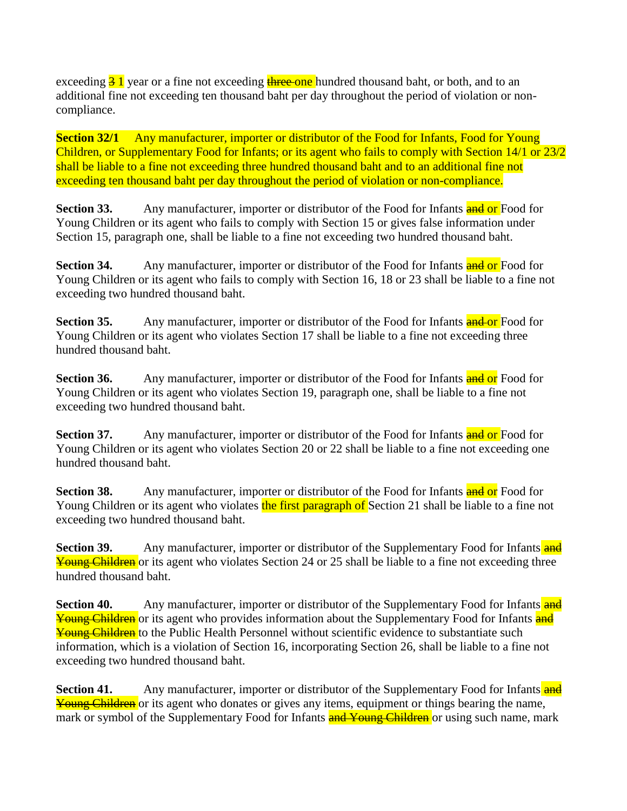exceeding  $\frac{3}{5}$  l year or a fine not exceeding three one hundred thousand baht, or both, and to an additional fine not exceeding ten thousand baht per day throughout the period of violation or noncompliance.

**Section 32/1** Any manufacturer, importer or distributor of the Food for Infants, Food for Young Children, or Supplementary Food for Infants; or its agent who fails to comply with Section 14/1 or 23/2 shall be liable to a fine not exceeding three hundred thousand baht and to an additional fine not exceeding ten thousand baht per day throughout the period of violation or non-compliance.

**Section 33.** Any manufacturer, importer or distributor of the Food for Infants and or Food for Young Children or its agent who fails to comply with Section 15 or gives false information under Section 15, paragraph one, shall be liable to a fine not exceeding two hundred thousand baht.

**Section 34.** Any manufacturer, importer or distributor of the Food for Infants **and or** Food for Young Children or its agent who fails to comply with Section 16, 18 or 23 shall be liable to a fine not exceeding two hundred thousand baht.

**Section 35.** Any manufacturer, importer or distributor of the Food for Infants **and or** Food for Young Children or its agent who violates Section 17 shall be liable to a fine not exceeding three hundred thousand baht.

**Section 36.** Any manufacturer, importer or distributor of the Food for Infants **and or** Food for Young Children or its agent who violates Section 19, paragraph one, shall be liable to a fine not exceeding two hundred thousand baht.

**Section 37.** Any manufacturer, importer or distributor of the Food for Infants and or Food for Young Children or its agent who violates Section 20 or 22 shall be liable to a fine not exceeding one hundred thousand baht.

**Section 38.** Any manufacturer, importer or distributor of the Food for Infants **and or** Food for Young Children or its agent who violates the first paragraph of Section 21 shall be liable to a fine not exceeding two hundred thousand baht.

**Section 39.** Any manufacturer, importer or distributor of the Supplementary Food for Infants **and** Young Children or its agent who violates Section 24 or 25 shall be liable to a fine not exceeding three hundred thousand baht.

**Section 40.** Any manufacturer, importer or distributor of the Supplementary Food for Infants and Young Children or its agent who provides information about the Supplementary Food for Infants and Young Children to the Public Health Personnel without scientific evidence to substantiate such information, which is a violation of Section 16, incorporating Section 26, shall be liable to a fine not exceeding two hundred thousand baht.

**Section 41.** Any manufacturer, importer or distributor of the Supplementary Food for Infants **and** Young Children or its agent who donates or gives any items, equipment or things bearing the name, mark or symbol of the Supplementary Food for Infants **and Young Children** or using such name, mark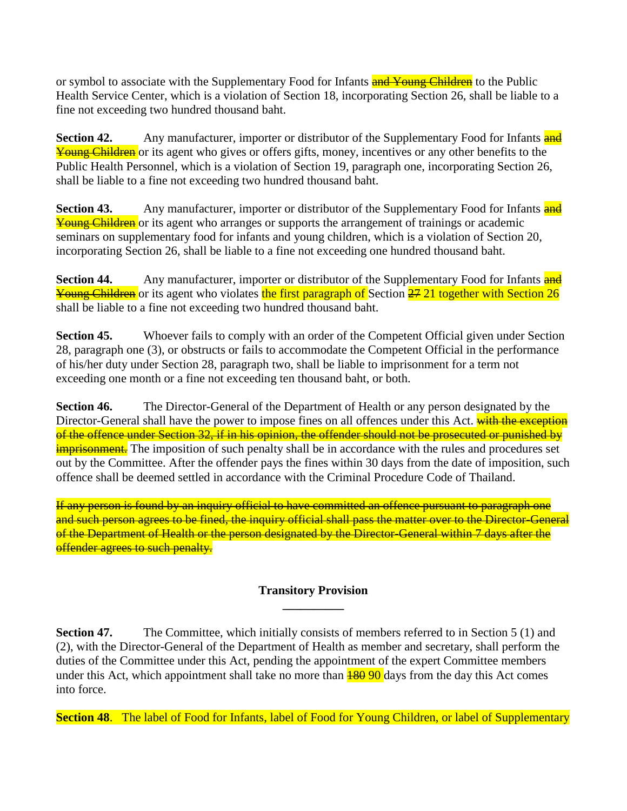or symbol to associate with the Supplementary Food for Infants and Young Children to the Public Health Service Center, which is a violation of Section 18, incorporating Section 26, shall be liable to a fine not exceeding two hundred thousand baht.

**Section 42.** Any manufacturer, importer or distributor of the Supplementary Food for Infants **and** Young Children or its agent who gives or offers gifts, money, incentives or any other benefits to the Public Health Personnel, which is a violation of Section 19, paragraph one, incorporating Section 26, shall be liable to a fine not exceeding two hundred thousand baht.

**Section 43.** Any manufacturer, importer or distributor of the Supplementary Food for Infants **and** Young Children or its agent who arranges or supports the arrangement of trainings or academic seminars on supplementary food for infants and young children, which is a violation of Section 20, incorporating Section 26, shall be liable to a fine not exceeding one hundred thousand baht.

**Section 44.** Any manufacturer, importer or distributor of the Supplementary Food for Infants **and Young Children** or its agent who violates the first paragraph of Section 27 21 together with Section 26 shall be liable to a fine not exceeding two hundred thousand baht.

**Section 45.** Whoever fails to comply with an order of the Competent Official given under Section 28, paragraph one (3), or obstructs or fails to accommodate the Competent Official in the performance of his/her duty under Section 28, paragraph two, shall be liable to imprisonment for a term not exceeding one month or a fine not exceeding ten thousand baht, or both.

**Section 46.** The Director-General of the Department of Health or any person designated by the Director-General shall have the power to impose fines on all offences under this Act. with the exception of the offence under Section 32, if in his opinion, the offender should not be prosecuted or punished by **imprisonment.** The imposition of such penalty shall be in accordance with the rules and procedures set out by the Committee. After the offender pays the fines within 30 days from the date of imposition, such offence shall be deemed settled in accordance with the Criminal Procedure Code of Thailand.

If any person is found by an inquiry official to have committed an offence pursuant to paragraph one and such person agrees to be fined, the inquiry official shall pass the matter over to the Director-General of the Department of Health or the person designated by the Director-General within 7 days after the offender agrees to such penalty.

#### **Transitory Provision \_\_\_\_\_\_\_\_\_\_**

**Section 47.** The Committee, which initially consists of members referred to in Section 5 (1) and (2), with the Director-General of the Department of Health as member and secretary, shall perform the duties of the Committee under this Act, pending the appointment of the expert Committee members under this Act, which appointment shall take no more than  $\frac{180}{90}$  days from the day this Act comes into force.

**Section 48**. The label of Food for Infants, label of Food for Young Children, or label of Supplementary